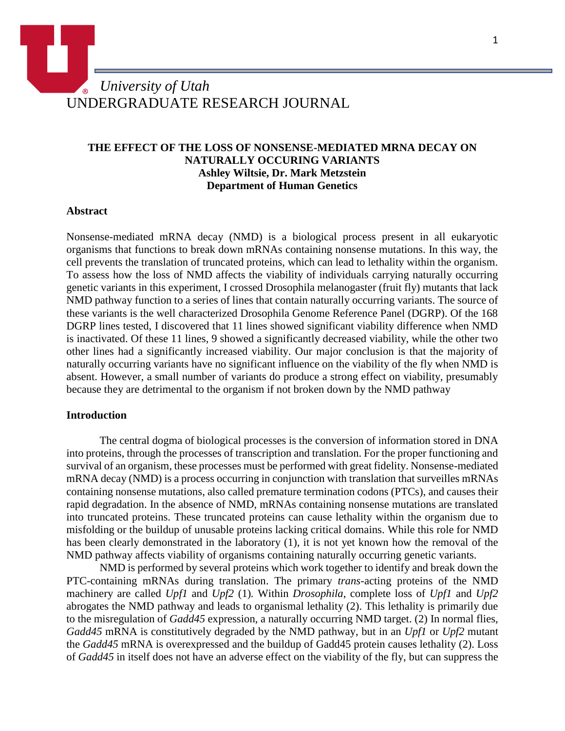# *University of Utah* UNDERGRADUATE RESEARCH JOURNAL

# **THE EFFECT OF THE LOSS OF NONSENSE-MEDIATED MRNA DECAY ON NATURALLY OCCURING VARIANTS Ashley Wiltsie, Dr. Mark Metzstein Department of Human Genetics**

#### **Abstract**

Nonsense-mediated mRNA decay (NMD) is a biological process present in all eukaryotic organisms that functions to break down mRNAs containing nonsense mutations. In this way, the cell prevents the translation of truncated proteins, which can lead to lethality within the organism. To assess how the loss of NMD affects the viability of individuals carrying naturally occurring genetic variants in this experiment, I crossed Drosophila melanogaster (fruit fly) mutants that lack NMD pathway function to a series of lines that contain naturally occurring variants. The source of these variants is the well characterized Drosophila Genome Reference Panel (DGRP). Of the 168 DGRP lines tested, I discovered that 11 lines showed significant viability difference when NMD is inactivated. Of these 11 lines, 9 showed a significantly decreased viability, while the other two other lines had a significantly increased viability. Our major conclusion is that the majority of naturally occurring variants have no significant influence on the viability of the fly when NMD is absent. However, a small number of variants do produce a strong effect on viability, presumably because they are detrimental to the organism if not broken down by the NMD pathway

#### **[Introduction](http://writing.colostate.edu/guides/page.cfm?pageid=1561&guideid=83)**

The central dogma of biological processes is the conversion of information stored in DNA into proteins, through the processes of transcription and translation. For the proper functioning and survival of an organism, these processes must be performed with great fidelity. Nonsense-mediated mRNA decay (NMD) is a process occurring in conjunction with translation that surveilles mRNAs containing nonsense mutations, also called premature termination codons (PTCs), and causes their rapid degradation. In the absence of NMD, mRNAs containing nonsense mutations are translated into truncated proteins. These truncated proteins can cause lethality within the organism due to misfolding or the buildup of unusable proteins lacking critical domains. While this role for NMD has been clearly demonstrated in the laboratory (1), it is not yet known how the removal of the NMD pathway affects viability of organisms containing naturally occurring genetic variants.

NMD is performed by several proteins which work together to identify and break down the PTC-containing mRNAs during translation. The primary *trans-*acting proteins of the NMD machinery are called *Upf1* and *Upf2* (1)*.* Within *Drosophila*, complete loss of *Upf1* and *Upf2* abrogates the NMD pathway and leads to organismal lethality (2). This lethality is primarily due to the misregulation of *Gadd45* expression, a naturally occurring NMD target. (2) In normal flies, *Gadd45* mRNA is constitutively degraded by the NMD pathway, but in an *Upf1* or *Upf2* mutant the *Gadd45* mRNA is overexpressed and the buildup of Gadd45 protein causes lethality (2). Loss of *Gadd45* in itself does not have an adverse effect on the viability of the fly, but can suppress the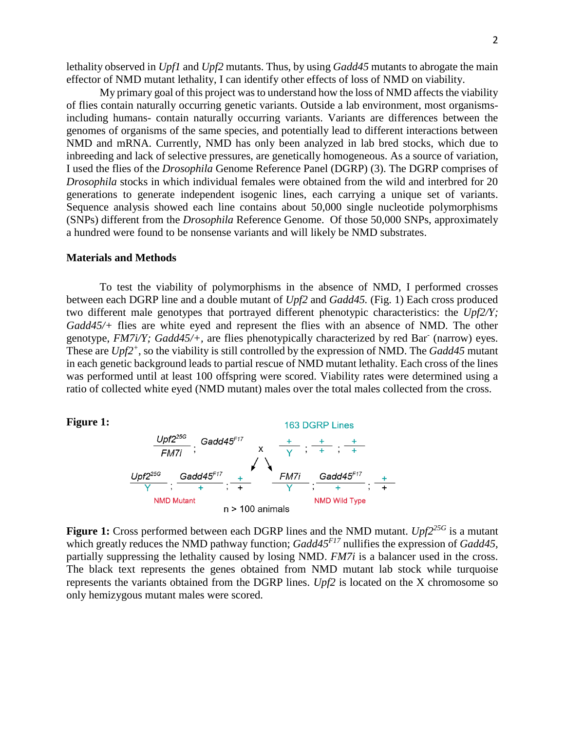lethality observed in *Upf1* and *Upf2* mutants. Thus, by using *Gadd45* mutants to abrogate the main effector of NMD mutant lethality, I can identify other effects of loss of NMD on viability.

My primary goal of this project was to understand how the loss of NMD affects the viability of flies contain naturally occurring genetic variants. Outside a lab environment, most organismsincluding humans- contain naturally occurring variants. Variants are differences between the genomes of organisms of the same species, and potentially lead to different interactions between NMD and mRNA. Currently, NMD has only been analyzed in lab bred stocks, which due to inbreeding and lack of selective pressures, are genetically homogeneous. As a source of variation, I used the flies of the *Drosophila* Genome Reference Panel (DGRP) (3). The DGRP comprises of *Drosophila* stocks in which individual females were obtained from the wild and interbred for 20 generations to generate independent isogenic lines, each carrying a unique set of variants. Sequence analysis showed each line contains about 50,000 single nucleotide polymorphisms (SNPs) different from the *Drosophila* Reference Genome. Of those 50,000 SNPs, approximately a hundred were found to be nonsense variants and will likely be NMD substrates.

#### **[Materials](http://writing.colostate.edu/guides/page.cfm?pageid=1562&guideid=83) and Methods**

To test the viability of polymorphisms in the absence of NMD, I performed crosses between each DGRP line and a double mutant of *Upf2* and *Gadd45.* (Fig. 1) Each cross produced two different male genotypes that portrayed different phenotypic characteristics: the *Upf2/Y; Gadd45/+* flies are white eyed and represent the flies with an absence of NMD. The other genotype, *FM7i/Y; Gadd45/+*, are flies phenotypically characterized by red Bar (narrow) eyes. These are *Upf2<sup>+</sup>* , so the viability is still controlled by the expression of NMD. The *Gadd45* mutant in each genetic background leads to partial rescue of NMD mutant lethality. Each cross of the lines was performed until at least 100 offspring were scored. Viability rates were determined using a ratio of collected white eyed (NMD mutant) males over the total males collected from the cross.

#### **Figure 1:**



**Figure 1:** Cross performed between each DGRP lines and the NMD mutant. *Upf225G* is a mutant which greatly reduces the NMD pathway function; *Gadd45<sup>F17</sup>* nullifies the expression of *Gadd45*, partially suppressing the lethality caused by losing NMD. *FM7i* is a balancer used in the cross. The black text represents the genes obtained from NMD mutant lab stock while turquoise represents the variants obtained from the DGRP lines. *Upf2* is located on the X chromosome so only hemizygous mutant males were scored.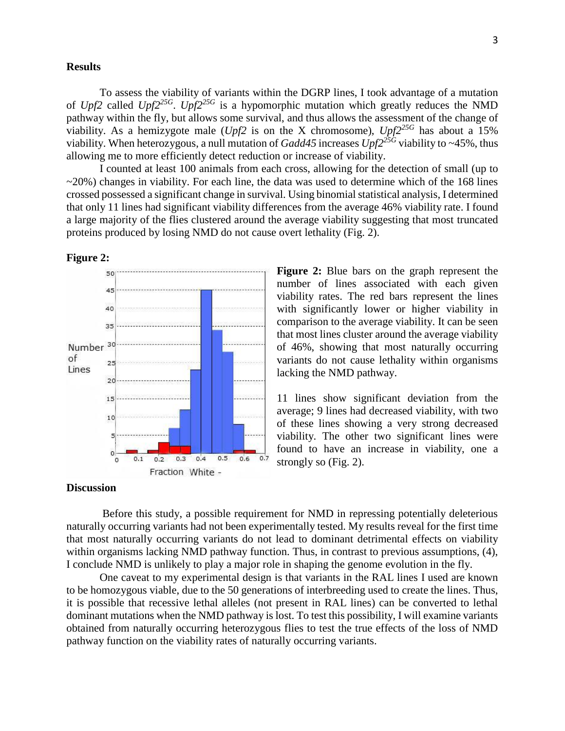## **[Results](http://writing.colostate.edu/guides/page.cfm?pageid=1563&guideid=83)**

To assess the viability of variants within the DGRP lines, I took advantage of a mutation of *Upf2* called *Upf225G* . *Upf225G* is a hypomorphic mutation which greatly reduces the NMD pathway within the fly, but allows some survival, and thus allows the assessment of the change of viability. As a hemizygote male (*Upf2* is on the X chromosome),  $Up f 2^{25G}$  has about a 15% viability. When heterozygous, a null mutation of *Gadd45* increases *Upf225G* viability to ~45%, thus allowing me to more efficiently detect reduction or increase of viability.

I counted at least 100 animals from each cross, allowing for the detection of small (up to  $\sim$ 20%) changes in viability. For each line, the data was used to determine which of the 168 lines crossed possessed a significant change in survival. Using binomialstatistical analysis, I determined that only 11 lines had significant viability differences from the average 46% viability rate. I found a large majority of the flies clustered around the average viability suggesting that most truncated proteins produced by losing NMD do not cause overt lethality (Fig. 2).



**Figure 2:** Blue bars on the graph represent the number of lines associated with each given viability rates. The red bars represent the lines with significantly lower or higher viability in comparison to the average viability. It can be seen that most lines cluster around the average viability of 46%, showing that most naturally occurring variants do not cause lethality within organisms lacking the NMD pathway.

11 lines show significant deviation from the average; 9 lines had decreased viability, with two of these lines showing a very strong decreased viability. The other two significant lines were found to have an increase in viability, one a strongly so (Fig. 2).

# **[Discussion](http://writing.colostate.edu/guides/page.cfm?pageid=1565&guideid=83)**

Before this study, a possible requirement for NMD in repressing potentially deleterious naturally occurring variants had not been experimentally tested. My results reveal for the first time that most naturally occurring variants do not lead to dominant detrimental effects on viability within organisms lacking NMD pathway function. Thus, in contrast to previous assumptions, (4), I conclude NMD is unlikely to play a major role in shaping the genome evolution in the fly.

One caveat to my experimental design is that variants in the RAL lines I used are known to be homozygous viable, due to the 50 generations of interbreeding used to create the lines. Thus, it is possible that recessive lethal alleles (not present in RAL lines) can be converted to lethal dominant mutations when the NMD pathway is lost. To test this possibility, I will examine variants obtained from naturally occurring heterozygous flies to test the true effects of the loss of NMD pathway function on the viability rates of naturally occurring variants.